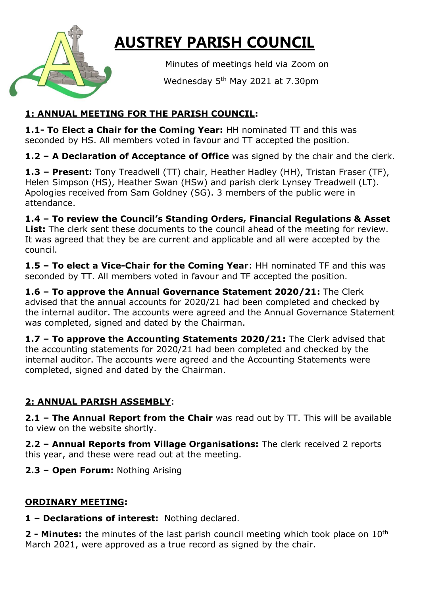

# **AUSTREY PARISH COUNCIL**

Minutes of meetings held via Zoom on

**Example 3** Wednesday 5<sup>th</sup> May 2021 at 7.30pm

## **1: ANNUAL MEETING FOR THE PARISH COUNCIL:**

**1.1- To Elect a Chair for the Coming Year:** HH nominated TT and this was seconded by HS. All members voted in favour and TT accepted the position.

**1.2 – A Declaration of Acceptance of Office** was signed by the chair and the clerk.

**1.3 – Present:** Tony Treadwell (TT) chair, Heather Hadley (HH), Tristan Fraser (TF), Helen Simpson (HS), Heather Swan (HSw) and parish clerk Lynsey Treadwell (LT). Apologies received from Sam Goldney (SG). 3 members of the public were in attendance.

**1.4 – To review the Council's Standing Orders, Financial Regulations & Asset**  List: The clerk sent these documents to the council ahead of the meeting for review. It was agreed that they be are current and applicable and all were accepted by the council.

**1.5 – To elect a Vice-Chair for the Coming Year**: HH nominated TF and this was seconded by TT. All members voted in favour and TF accepted the position.

**1.6 – To approve the Annual Governance Statement 2020/21:** The Clerk advised that the annual accounts for 2020/21 had been completed and checked by the internal auditor. The accounts were agreed and the Annual Governance Statement was completed, signed and dated by the Chairman.

**1.7 – To approve the Accounting Statements 2020/21:** The Clerk advised that the accounting statements for 2020/21 had been completed and checked by the internal auditor. The accounts were agreed and the Accounting Statements were completed, signed and dated by the Chairman.

## **2: ANNUAL PARISH ASSEMBLY**:

**2.1 – The Annual Report from the Chair** was read out by TT. This will be available to view on the website shortly.

**2.2 – Annual Reports from Village Organisations:** The clerk received 2 reports this year, and these were read out at the meeting.

**2.3 – Open Forum:** Nothing Arising

## **ORDINARY MEETING:**

**1 – Declarations of interest:** Nothing declared.

**2 - Minutes:** the minutes of the last parish council meeting which took place on 10th March 2021, were approved as a true record as signed by the chair.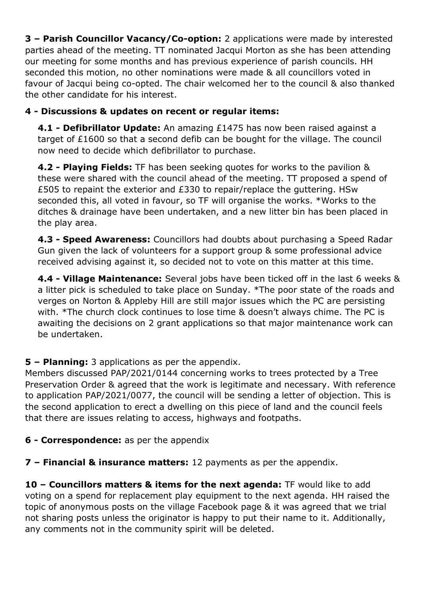**3 – Parish Councillor Vacancy/Co-option:** 2 applications were made by interested parties ahead of the meeting. TT nominated Jacqui Morton as she has been attending our meeting for some months and has previous experience of parish councils. HH seconded this motion, no other nominations were made & all councillors voted in favour of Jacqui being co-opted. The chair welcomed her to the council & also thanked the other candidate for his interest.

### **4 - Discussions & updates on recent or regular items:**

**4.1 - Defibrillator Update:** An amazing £1475 has now been raised against a target of £1600 so that a second defib can be bought for the village. The council now need to decide which defibrillator to purchase.

**4.2 - Playing Fields:** TF has been seeking quotes for works to the pavilion & these were shared with the council ahead of the meeting. TT proposed a spend of £505 to repaint the exterior and £330 to repair/replace the guttering. HSw seconded this, all voted in favour, so TF will organise the works. \*Works to the ditches & drainage have been undertaken, and a new litter bin has been placed in the play area.

**4.3 - Speed Awareness:** Councillors had doubts about purchasing a Speed Radar Gun given the lack of volunteers for a support group & some professional advice received advising against it, so decided not to vote on this matter at this time.

**4.4 - Village Maintenance:** Several jobs have been ticked off in the last 6 weeks & a litter pick is scheduled to take place on Sunday. \*The poor state of the roads and verges on Norton & Appleby Hill are still major issues which the PC are persisting with. \*The church clock continues to lose time & doesn't always chime. The PC is awaiting the decisions on 2 grant applications so that major maintenance work can be undertaken.

#### **5 – Planning:** 3 applications as per the appendix.

Members discussed PAP/2021/0144 concerning works to trees protected by a Tree Preservation Order & agreed that the work is legitimate and necessary. With reference to application PAP/2021/0077, the council will be sending a letter of objection. This is the second application to erect a dwelling on this piece of land and the council feels that there are issues relating to access, highways and footpaths.

#### **6 - Correspondence:** as per the appendix

**7 – Financial & insurance matters:** 12 payments as per the appendix.

**10 – Councillors matters & items for the next agenda:** TF would like to add voting on a spend for replacement play equipment to the next agenda. HH raised the topic of anonymous posts on the village Facebook page & it was agreed that we trial not sharing posts unless the originator is happy to put their name to it. Additionally, any comments not in the community spirit will be deleted.